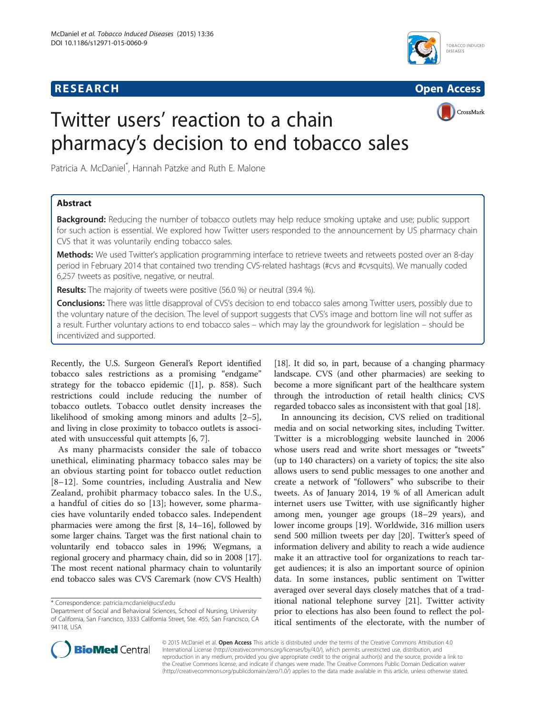# **RESEARCH RESEARCH** *CHECK CHECK CHECK CHECK CHECK CHECK CHECK CHECK CHECK CHECK CHECK CHECK CHECK CHECK CHECK CHECK CHECK CHECK CHECK CHECK CHECK CHECK CHECK CHECK CHECK CHECK CHECK CHECK CHECK CHECK CHECK CHECK CHECK*





# Twitter users' reaction to a chain pharmacy's decision to end tobacco sales

Patricia A. McDaniel\* , Hannah Patzke and Ruth E. Malone

# Abstract

**Background:** Reducing the number of tobacco outlets may help reduce smoking uptake and use; public support for such action is essential. We explored how Twitter users responded to the announcement by US pharmacy chain CVS that it was voluntarily ending tobacco sales.

Methods: We used Twitter's application programming interface to retrieve tweets and retweets posted over an 8-day period in February 2014 that contained two trending CVS-related hashtags (#cvs and #cvsquits). We manually coded 6,257 tweets as positive, negative, or neutral.

Results: The majority of tweets were positive (56.0 %) or neutral (39.4 %).

Conclusions: There was little disapproval of CVS's decision to end tobacco sales among Twitter users, possibly due to the voluntary nature of the decision. The level of support suggests that CVS's image and bottom line will not suffer as a result. Further voluntary actions to end tobacco sales – which may lay the groundwork for legislation – should be incentivized and supported.

Recently, the U.S. Surgeon General's Report identified tobacco sales restrictions as a promising "endgame" strategy for the tobacco epidemic ([[1\]](#page-2-0), p. 858). Such restrictions could include reducing the number of tobacco outlets. Tobacco outlet density increases the likelihood of smoking among minors and adults [\[2](#page-2-0)–[5](#page-2-0)], and living in close proximity to tobacco outlets is associated with unsuccessful quit attempts [[6, 7\]](#page-2-0).

As many pharmacists consider the sale of tobacco unethical, eliminating pharmacy tobacco sales may be an obvious starting point for tobacco outlet reduction [[8](#page-2-0)–[12](#page-2-0)]. Some countries, including Australia and New Zealand, prohibit pharmacy tobacco sales. In the U.S., a handful of cities do so [[13](#page-2-0)]; however, some pharmacies have voluntarily ended tobacco sales. Independent pharmacies were among the first [[8, 14](#page-2-0)–[16](#page-2-0)], followed by some larger chains. Target was the first national chain to voluntarily end tobacco sales in 1996; Wegmans, a regional grocery and pharmacy chain, did so in 2008 [[17](#page-2-0)]. The most recent national pharmacy chain to voluntarily end tobacco sales was CVS Caremark (now CVS Health)

[[18](#page-2-0)]. It did so, in part, because of a changing pharmacy landscape. CVS (and other pharmacies) are seeking to become a more significant part of the healthcare system through the introduction of retail health clinics; CVS regarded tobacco sales as inconsistent with that goal [\[18\]](#page-2-0).

In announcing its decision, CVS relied on traditional media and on social networking sites, including Twitter. Twitter is a microblogging website launched in 2006 whose users read and write short messages or "tweets" (up to 140 characters) on a variety of topics; the site also allows users to send public messages to one another and create a network of "followers" who subscribe to their tweets. As of January 2014, 19 % of all American adult internet users use Twitter, with use significantly higher among men, younger age groups (18–29 years), and lower income groups [\[19\]](#page-2-0). Worldwide, 316 million users send 500 million tweets per day [[20\]](#page-2-0). Twitter's speed of information delivery and ability to reach a wide audience make it an attractive tool for organizations to reach target audiences; it is also an important source of opinion data. In some instances, public sentiment on Twitter averaged over several days closely matches that of a traditional national telephone survey [[21](#page-2-0)]. Twitter activity prior to elections has also been found to reflect the political sentiments of the electorate, with the number of



© 2015 McDaniel et al. Open Access This article is distributed under the terms of the Creative Commons Attribution 4.0 International License [\(http://creativecommons.org/licenses/by/4.0/](http://creativecommons.org/licenses/by/4.0/)), which permits unrestricted use, distribution, and reproduction in any medium, provided you give appropriate credit to the original author(s) and the source, provide a link to the Creative Commons license, and indicate if changes were made. The Creative Commons Public Domain Dedication waiver [\(http://creativecommons.org/publicdomain/zero/1.0/](http://creativecommons.org/publicdomain/zero/1.0/)) applies to the data made available in this article, unless otherwise stated.

<sup>\*</sup> Correspondence: [patricia.mcdaniel@ucsf.edu](mailto:patricia.mcdaniel@ucsf.edu)

Department of Social and Behavioral Sciences, School of Nursing, University of California, San Francisco, 3333 California Street, Ste. 455, San Francisco, CA 94118, USA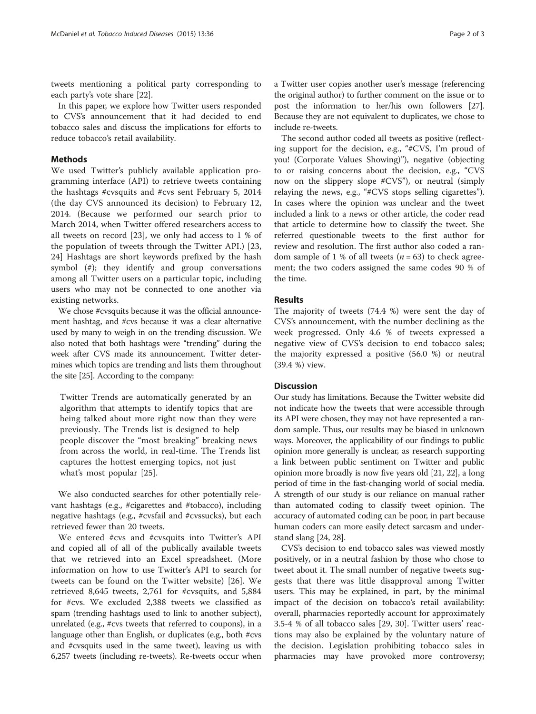tweets mentioning a political party corresponding to each party's vote share [[22\]](#page-2-0).

In this paper, we explore how Twitter users responded to CVS's announcement that it had decided to end tobacco sales and discuss the implications for efforts to reduce tobacco's retail availability.

### Methods

We used Twitter's publicly available application programming interface (API) to retrieve tweets containing the hashtags #cvsquits and #cvs sent February 5, 2014 (the day CVS announced its decision) to February 12, 2014. (Because we performed our search prior to March 2014, when Twitter offered researchers access to all tweets on record [[23](#page-2-0)], we only had access to 1 % of the population of tweets through the Twitter API.) [\[23](#page-2-0), [24\]](#page-2-0) Hashtags are short keywords prefixed by the hash symbol (#); they identify and group conversations among all Twitter users on a particular topic, including users who may not be connected to one another via existing networks.

We chose #cvsquits because it was the official announcement hashtag, and #cvs because it was a clear alternative used by many to weigh in on the trending discussion. We also noted that both hashtags were "trending" during the week after CVS made its announcement. Twitter determines which topics are trending and lists them throughout the site [[25](#page-2-0)]. According to the company:

Twitter Trends are automatically generated by an algorithm that attempts to identify topics that are being talked about more right now than they were previously. The Trends list is designed to help people discover the "most breaking" breaking news from across the world, in real-time. The Trends list captures the hottest emerging topics, not just what's most popular [[25\]](#page-2-0).

We also conducted searches for other potentially relevant hashtags (e.g., #cigarettes and #tobacco), including negative hashtags (e.g., #cvsfail and #cvssucks), but each retrieved fewer than 20 tweets.

We entered #cvs and #cvsquits into Twitter's API and copied all of all of the publically available tweets that we retrieved into an Excel spreadsheet. (More information on how to use Twitter's API to search for tweets can be found on the Twitter website) [\[26\]](#page-2-0). We retrieved 8,645 tweets, 2,761 for #cvsquits, and 5,884 for #cvs. We excluded 2,388 tweets we classified as spam (trending hashtags used to link to another subject), unrelated (e.g., #cvs tweets that referred to coupons), in a language other than English, or duplicates (e.g., both #cvs and #cvsquits used in the same tweet), leaving us with 6,257 tweets (including re-tweets). Re-tweets occur when a Twitter user copies another user's message (referencing the original author) to further comment on the issue or to post the information to her/his own followers [[27](#page-2-0)]. Because they are not equivalent to duplicates, we chose to include re-tweets.

The second author coded all tweets as positive (reflecting support for the decision, e.g., "#CVS, I'm proud of you! (Corporate Values Showing)"), negative (objecting to or raising concerns about the decision, e.g., "CVS now on the slippery slope #CVS"), or neutral (simply relaying the news, e.g., "#CVS stops selling cigarettes"). In cases where the opinion was unclear and the tweet included a link to a news or other article, the coder read that article to determine how to classify the tweet. She referred questionable tweets to the first author for review and resolution. The first author also coded a random sample of 1 % of all tweets ( $n = 63$ ) to check agreement; the two coders assigned the same codes 90 % of the time.

### Results

The majority of tweets (74.4 %) were sent the day of CVS's announcement, with the number declining as the week progressed. Only 4.6 % of tweets expressed a negative view of CVS's decision to end tobacco sales; the majority expressed a positive (56.0 %) or neutral (39.4 %) view.

## **Discussion**

Our study has limitations. Because the Twitter website did not indicate how the tweets that were accessible through its API were chosen, they may not have represented a random sample. Thus, our results may be biased in unknown ways. Moreover, the applicability of our findings to public opinion more generally is unclear, as research supporting a link between public sentiment on Twitter and public opinion more broadly is now five years old [[21, 22\]](#page-2-0), a long period of time in the fast-changing world of social media. A strength of our study is our reliance on manual rather than automated coding to classify tweet opinion. The accuracy of automated coding can be poor, in part because human coders can more easily detect sarcasm and understand slang [\[24, 28](#page-2-0)].

CVS's decision to end tobacco sales was viewed mostly positively, or in a neutral fashion by those who chose to tweet about it. The small number of negative tweets suggests that there was little disapproval among Twitter users. This may be explained, in part, by the minimal impact of the decision on tobacco's retail availability: overall, pharmacies reportedly account for approximately 3.5-4 % of all tobacco sales [\[29, 30](#page-2-0)]. Twitter users' reactions may also be explained by the voluntary nature of the decision. Legislation prohibiting tobacco sales in pharmacies may have provoked more controversy;